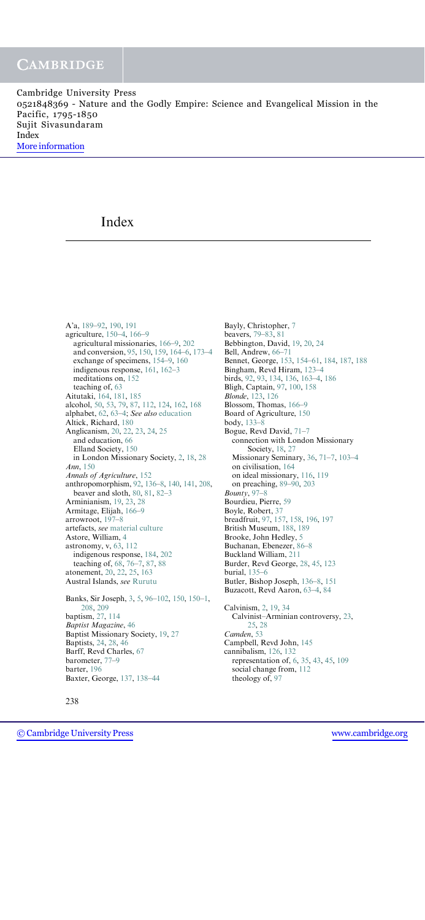Cambridge University Press 0521848369 - Nature and the Godly Empire: Science and Evangelical Mission in the Pacific, 1795-1850 Sujit Sivasundaram Index [More information](http://www.cambridge.org/0521848369)

# Index

A'a, 189–92, 190, 191 agriculture, 150–4, 166–9 agricultural missionaries, 166–9, 202 and conversion, 95, 150, 159, 164–6, 173–4 exchange of specimens, 154–9, 160 indigenous response, 161, 162–3 meditations on, 152 teaching of, 63 Aitutaki, 164, 181, 185 alcohol, 50, 53, 79, 87, 112, 124, 162, 168 alphabet, 62, 63–4; See also education Altick, Richard, 180 Anglicanism, 20, 22, 23, 24, 25 and education, 66 Elland Society, 150 in London Missionary Society, 2, 18, 28 Ann, 150 Annals of Agriculture, 152 anthropomorphism, 92, 136–8, 140, 141, 208, beaver and sloth, 80, 81, 82–3 Arminianism, 19, 23, 28 Armitage, Elijah, 166–9 arrowroot, 197–8 artefacts, see material culture Astore, William, 4 astronomy, v, 63, 112 indigenous response, 184, 202 teaching of, 68, 76–7, 87, 88 atonement, 20, 22, 25, 163 Austral Islands, see Rurutu Banks, Sir Joseph, 3, 5, 96–102, 150, 150–1, 208, 209 baptism, 27, 114 Baptist Magazine, 46 Baptist Missionary Society, 19, 27 Baptists, 24, 28, 46 Barff, Revd Charles, 67 barometer, 77–9 barter, 196 Baxter, George, 137, 138–44

Bayly, Christopher, 7 beavers, 79–83, 81 Bebbington, David, 19, 20, 24 Bell, Andrew, 66–71 Bennet, George, 153, 154–61, 184, 187, 188 Bingham, Revd Hiram, 123–4 birds, 92, 93, 134, 136, 163–4, 186 Bligh, Captain, 97, 100, 158 Blonde, 123, 126 Blossom, Thomas, 166–9 Board of Agriculture, 150 body, 133–8 Bogue, Revd David, 71–7 connection with London Missionary Society, 18, 27 Missionary Seminary, 36, 71–7, 103–4 on civilisation, 164 on ideal missionary, 116, 119 on preaching, 89–90, 203 Bounty, 97–8 Bourdieu, Pierre, 59 Boyle, Robert, 37 breadfruit, 97, 157, 158, 196, 197 British Museum, 188, 189 Brooke, John Hedley, 5 Buchanan, Ebenezer, 86–8 Buckland William, 211 Burder, Revd George, 28, 45, 123 burial, 135–6 Butler, Bishop Joseph, 136–8, 151 Buzacott, Revd Aaron, 63–4, 84 Calvinism, 2, 19, 34 Calvinist–Arminian controversy, 23, 25, 28 Camden, 53 Campbell, Revd John, 145 cannibalism, 126, 132 representation of, 6, 35, 43, 45, 109 social change from, 112 theology of, 97

238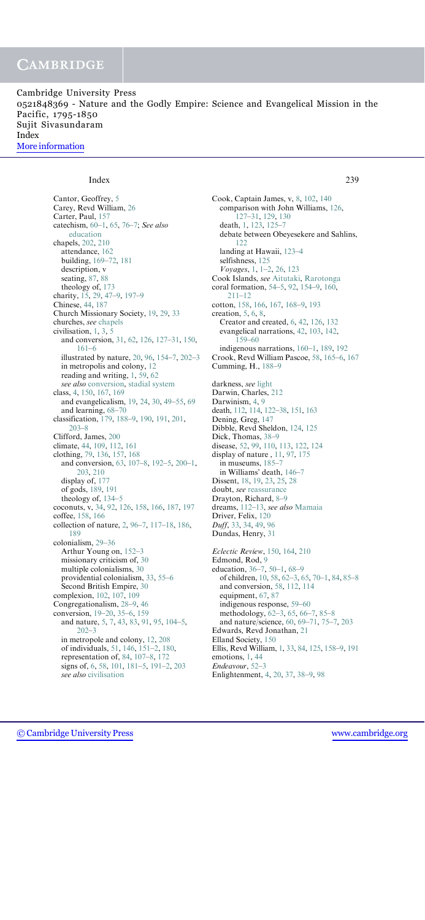Cambridge University Press 0521848369 - Nature and the Godly Empire: Science and Evangelical Mission in the Pacific, 1795-1850 Sujit Sivasundaram Index [More information](http://www.cambridge.org/0521848369)

#### Index 239

Cantor, Geoffrey, 5 Carey, Revd William, 26 Carter, Paul, 157 catechism, 60–1, 65, 76–7; See also education chapels, 202, 210 attendance, 162 building, 169–72, 181 description, v seating, 87, 88 theology of, 173 charity, 15, 29, 47–9, 197–9 Chinese, 44, 187 Church Missionary Society, 19, 29, 33 churches, see chapels civilisation, 1, 3, 5 and conversion, 31, 62, 126, 127–31, 150, 161–6 illustrated by nature, 20, 96, 154–7, 202–3 in metropolis and colony, 12 reading and writing, 1, 59, 62 see also conversion, stadial system class, 4, 150, 167, 169 and evangelicalism, 19, 24, 30, 49–55, 69 and learning, 68–70 classification, 179, 188–9, 190, 191, 201, 203–8 Clifford, James, 200 climate, 44, 109, 112, 161 clothing, 79, 136, 157, 168 and conversion, 63, 107–8, 192–5, 200–1, 203, 210 display of, 177 of gods, 189, 191 theology of, 134–5 coconuts, v, 34, 92, 126, 158, 166, 187, 197 coffee, 158, 166 collection of nature, 2, 96–7, 117–18, 186, 189 colonialism, 29–36 Arthur Young on, 152–3 missionary criticism of, 30 multiple colonialisms, 30 providential colonialism, 33, 55–6 Second British Empire, 30 complexion, 102, 107, 109 Congregationalism, 28–9, 46 conversion, 19–20, 35–6, 159 and nature, 5, 7, 43, 83, 91, 95, 104–5, 202–3 in metropole and colony, 12, 208 of individuals, 51, 146, 151–2, 180, representation of, 84, 107–8, 172 signs of, 6, 58, 101, 181–5, 191–2, 203 see also civilisation

Cook, Captain James, v, 8, 102, 140 comparison with John Williams, 126, 127–31, 129, 130 death, 1, 123, 125–7 debate between Obeyesekere and Sahlins, 122 landing at Hawaii, 123–4 selfishness, 125 Voyages, 1, 1–2, 26, 123 Cook Islands, see Aitutaki, Rarotonga coral formation, 54–5, 92, 154–9, 160, 211–12 cotton, 158, 166, 167, 168–9, 193 creation, 5, 6, 8, Creator and created, 6, 42, 126, 132 evangelical narrations, 42, 103, 142, 159–60 indigenous narrations, 160–1, 189, 192 Crook, Revd William Pascoe, 58, 165–6, 167 Cumming, H., 188–9 darkness, see light Darwin, Charles, 212 Darwinism, 4, 9 death, 112, 114, 122–38, 151, 163

Dening, Greg, 147 Dibble, Revd Sheldon, 124, 125 Dick, Thomas, 38–9 disease, 52, 99, 110, 113, 122, 124 display of nature , 11, 97, 175 in museums, 185–7 in Williams' death, 146–7 Dissent, 18, 19, 23, 25, 28 doubt, see reassurance Drayton, Richard, 8–9 dreams, 112–13, see also Mamaia Driver, Felix, 120 Duff, 33, 34, 49, 96 Dundas, Henry, 31 Eclectic Review, 150, 164, 210

Edmond, Rod, 9 education, 36–7, 50–1, 68–9 of children, 10, 58, 62–3, 65, 70–1, 84, 85–8 and conversion, 58, 112, 114 equipment, 67, 87 indigenous response, 59–60 methodology, 62–3, 65, 66–7, 85–8 and nature/science, 60, 69–71, 75–7, 203 Edwards, Revd Jonathan, 21 Elland Society, 150 Ellis, Revd William, 1, 33, 84, 125, 158–9, 191 emotions, 1, 44 Endeavour, 52–3 Enlightenment, 4, 20, 37, 38–9, 98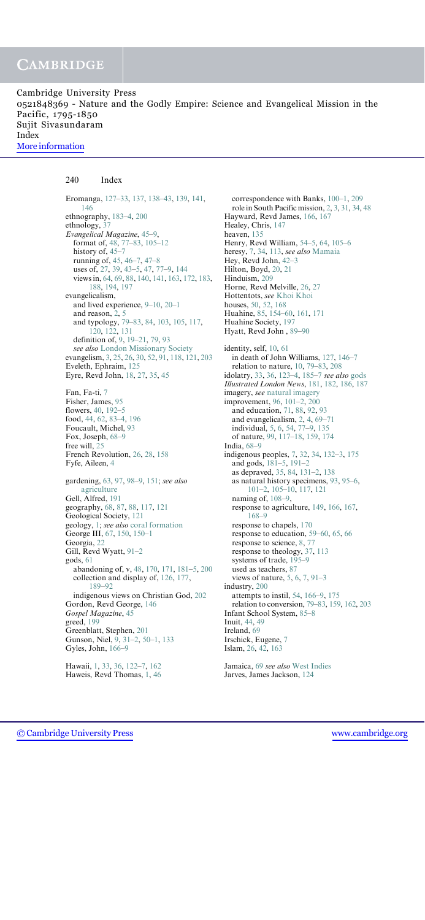Cambridge University Press 0521848369 - Nature and the Godly Empire: Science and Evangelical Mission in the Pacific, 1795-1850 Sujit Sivasundaram Index [More information](http://www.cambridge.org/0521848369)

#### 240 Index

Eromanga, 127–33, 137, 138–43, 139, 141, 146 ethnography, 183–4, 200 ethnology, 37 Evangelical Magazine, 45–9, format of, 48, 77–83, 105–12 history of,  $45-7$ running of, 45, 46–7, 47–8 uses of, 27, 39, 43–5, 47, 77–9, 144 views in, 64, 69, 88, 140, 141, 163, 172, 183, 188, 194, 197 evangelicalism, and lived experience, 9–10, 20–1 and reason, 2, 5 and typology, 79–83, 84, 103, 105, 117, 120, 122, 131 definition of, 9, 19–21, 79, 93 see also London Missionary Society evangelism, 3, 25, 26, 30, 52, 91, 118, 121, 203 Eveleth, Ephraim, 125 Eyre, Revd John, 18, 27, 35, 45 Fan, Fa-ti, 7 Fisher, James, 95 flowers, 40, 192–5 food, 44, 62, 83–4, 196 Foucault, Michel, 93 Fox, Joseph, 68–9 free will, 25 French Revolution, 26, 28, 158 Fyfe, Aileen, 4 gardening, 63, 97, 98–9, 151; see also agriculture Gell, Alfred, 191 geography, 68, 87, 88, 117, 121 Geological Society, 121 geology, 1; see also coral formation George III, 67, 150, 150–1 Georgia, 22 Gill, Revd Wyatt, 91–2 gods, 61 abandoning of, v, 48, 170, 171, 181–5, 200 collection and display of, 126, 177, 189–92 indigenous views on Christian God, 202 Gordon, Revd George, 146 Gospel Magazine, 45 greed, 199 Greenblatt, Stephen, 201 Gunson, Niel, 9, 31–2, 50–1, 133 Gyles, John, 166–9

Hawaii, 1, 33, 36, 122–7, 162 Haweis, Revd Thomas, 1, 46

correspondence with Banks, 100–1, 209 role in South Pacific mission, 2, 3, 31, 34, 48 Hayward, Revd James, 166, 167 Healey, Chris, 147 heaven, 135 Henry, Revd William, 54–5, 64, 105–6 heresy, 7, 34, 113, see also Mamaia Hey, Revd John, 42–3 Hilton, Boyd, 20, 21 Hinduism, 209 Horne, Revd Melville, 26, 27 Hottentots, see Khoi Khoi houses, 50, 52, 168 Huahine, 85, 154–60, 161, 171 Huahine Society, 197 Hyatt, Revd John , 89–90 identity, self, 10, 61 in death of John Williams, 127, 146–7 relation to nature, 10, 79–83, 208 idolatry, 33, 36, 123–4, 185–7 see also gods Illustrated London News, 181, 182, 186, 187 imagery, see natural imagery improvement, 96, 101–2, 200 and education, 71, 88, 92, 93 and evangelicalism, 2, 4, 69–71 individual, 5, 6, 54, 77–9, 135 of nature, 99, 117–18, 159, 174 India, 68–9 indigenous peoples, 7, 32, 34, 132–3, 175 and gods, 181–5, 191–2 as depraved, 35, 84, 131–2, 138 as natural history specimens, 93, 95–6, 101–2, 105–10, 117, 121 naming of, 108–9, response to agriculture, 149, 166, 167, 168–9 response to chapels, 170 response to education, 59–60, 65, 66 response to science, 8, 77 response to theology, 37, 113 systems of trade, 195–9 used as teachers, 87 views of nature, 5, 6, 7, 91–3 industry, 200 attempts to instil, 54, 166–9, 175 relation to conversion, 79–83, 159, 162, 203 Infant School System, 85–8 Inuit, 44, 49 Ireland, 69 Irschick, Eugene, 7 Islam, 26, 42, 163

Jamaica, 69 see also West Indies Jarves, James Jackson, 124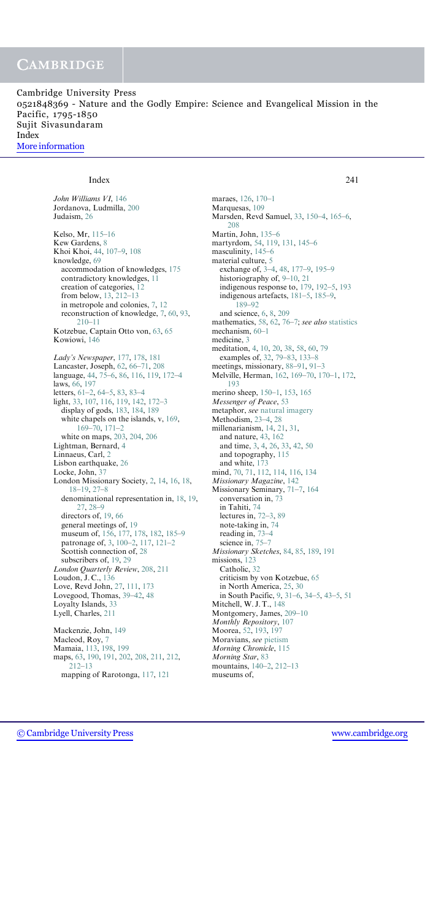Cambridge University Press 0521848369 - Nature and the Godly Empire: Science and Evangelical Mission in the Pacific, 1795-1850 Sujit Sivasundaram Index [More information](http://www.cambridge.org/0521848369)

#### Index 241

John Williams VI, 146

Jordanova, Ludmilla, 200 Judaism, 26 Kelso, Mr, 115–16 Kew Gardens, 8 Khoi Khoi, 44, 107–9, 108 knowledge, 69 accommodation of knowledges, 175 contradictory knowledges, 11 creation of categories, 12 from below, 13, 212–13 in metropole and colonies, 7, 12 reconstruction of knowledge, 7, 60, 93, 210–11 Kotzebue, Captain Otto von, 63, 65 Kowiowi, 146 Lady's Newspaper, 177, 178, 181 Lancaster, Joseph, 62, 66–71, 208 language, 44, 75–6, 86, 116, 119, 172–4 laws, 66, 197 letters, 61–2, 64–5, 83, 83–4 light, 33, 107, 116, 119, 142, 172–3 display of gods, 183, 184, 189 white chapels on the islands, v, 169, 169–70, 171–2 white on maps, 203, 204, 206 Lightman, Bernard, 4 Linnaeus, Carl, 2 Lisbon earthquake, 26 Locke, John, 37 London Missionary Society, 2, 14, 16, 18, 18–19, 27–8 denominational representation in, 18, 19, 27, 28–9 directors of, 19, 66 general meetings of, 19 museum of, 156, 177, 178, 182, 185–9 patronage of, 3, 100–2, 117, 121–2 Scottish connection of, 28 subscribers of, 19, 29 London Quarterly Review, 208, 211 Loudon, J. C., 136 Love, Revd John, 27, 111, 173 Lovegood, Thomas, 39–42, 48 Loyalty Islands, 33 Lyell, Charles, 211 Mackenzie, John, 149 Macleod, Roy, 7 Mamaia, 113, 198, 199 maps, 63, 190, 191, 202, 208, 211, 212, 212–13 mapping of Rarotonga, 117, 121

maraes, 126, 170–1 Marquesas, 109 Marsden, Revd Samuel, 33, 150–4, 165–6, 208 Martin, John, 135–6 martyrdom, 54, 119, 131, 145–6 masculinity, 145–6 material culture, 5 exchange of, 3–4, 48, 177–9, 195–9 historiography of, 9–10, 21 indigenous response to, 179, 192–5, 193 indigenous artefacts, 181–5, 185–9, 189–92 and science, 6, 8, 209 mathematics, 58, 62, 76–7; see also statistics mechanism, 60–1 medicine, 3 meditation, 4, 10, 20, 38, 58, 60, 79 examples of, 32, 79–83, 133–8 meetings, missionary, 88–91, 91–3 Melville, Herman, 162, 169–70, 170–1, 172, 193 merino sheep, 150–1, 153, 165 Messenger of Peace, 53 metaphor, see natural imagery Methodism, 23–4, 28 millenarianism, 14, 21, 31, and nature, 43, 162 and time, 3, 4, 26, 33, 42, 50 and topography, 115 and white, 173 mind, 70, 71, 112, 114, 116, 134 Missionary Magazine, 142 Missionary Seminary, 71–7, 164 conversation in, 73 in Tahiti, 74 lectures in, 72–3, 89 note-taking in, 74 reading in, 73–4 science in, 75–7 Missionary Sketches, 84, 85, 189, 191 missions, 123 Catholic, 32 criticism by von Kotzebue, 65 in North America, 25, 30 in South Pacific, 9, 31–6, 34–5, 43–5, 51 Mitchell, W. J. T., 148 Montgomery, James, 209–10 Monthly Repository, 107 Moorea, 52, 193, 197 Moravians, see pietism Morning Chronicle, 115 Morning Star, 83 mountains, 140–2, 212–13 museums of,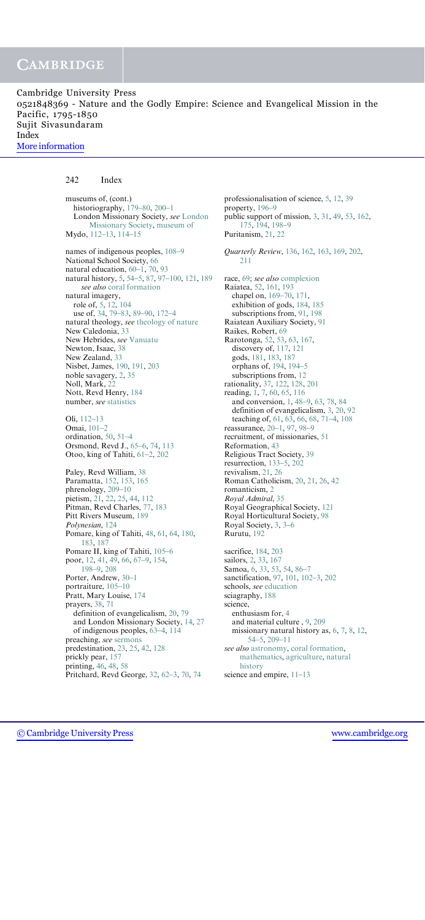Cambridge University Press 0521848369 - Nature and the Godly Empire: Science and Evangelical Mission in the Pacific, 1795-1850 Sujit Sivasundaram Index [More information](http://www.cambridge.org/0521848369)

#### 242 Index

museums of, (cont.) historiography, 179–80, 200–1 London Missionary Society, see London Missionary Society, museum of Mydo, 112–13, 114–15 names of indigenous peoples, 108–9 National School Society, 66 natural education, 60–1, 70, 93 natural history, 5, 54–5, 87, 97–100, 121, 189 see also coral formation natural imagery, role of, 5, 12, 104 use of, 34, 79–83, 89–90, 172–4 natural theology, see theology of nature New Caledonia, 33 New Hebrides, see Vanuatu Newton, Isaac, 38 New Zealand, 33 Nisbet, James, 190, 191, 203 noble savagery, 2, 35 Noll, Mark, 22 Nott, Revd Henry, 184 number, see statistics Oli, 112–13 Omai, 101–2 ordination, 50, 51–4 Orsmond, Revd J., 65–6, 74, 113 Otoo, king of Tahiti, 61–2, 202 Paley, Revd William, 38 Paramatta, 152, 153, 165 phrenology, 209–10 pietism, 21, 22, 25, 44, 112 Pitman, Revd Charles, 77, 183 Pitt Rivers Museum, 189 Polynesian, 124 Pomare, king of Tahiti, 48, 61, 64, 180, 183, 187 Pomare II, king of Tahiti, 105–6 poor, 12, 41, 49, 66, 67–9, 154, 198–9, 208

Porter, Andrew, 30–1 portraiture, 105–10 Pratt, Mary Louise, 174 prayers, 38, 71 definition of evangelicalism, 20, 79 and London Missionary Society, 14, 27 of indigenous peoples, 63–4, 114 preaching, see sermons predestination, 23, 25, 42, 128 prickly pear, 157 printing, 46, 48, 58 Pritchard, Revd George, 32, 62–3, 70, 74

professionalisation of science, 5, 12, 39 property, 196–9 public support of mission, 3, 31, 49, 53, 162, 175, 194, 198–9 Puritanism, 21, 22 Quarterly Review, 136, 162, 163, 169, 202, 211 race, 69; see also complexion Raiatea, 52, 161, 193 chapel on, 169–70, 171, exhibition of gods, 184, 185 subscriptions from, 91, 198 Raiatean Auxiliary Society, 91 Raikes, Robert, 69 Rarotonga, 52, 53, 63, 167, discovery of, 117, 121 gods, 181, 183, 187 orphans of, 194, 194–5 subscriptions from, 12 rationality, 37, 122, 128, 201 reading, 1, 7, 60, 65, 116 and conversion, 1, 48–9, 63, 78, 84 definition of evangelicalism, 3, 20, 92 teaching of, 61, 63, 66, 68, 71–4, 108 reassurance, 20–1, 97, 98–9 recruitment, of missionaries, 51 Reformation, 43 Religious Tract Society, 39 resurrection, 133–5, 202 revivalism, 21, 26 Roman Catholicism, 20, 21, 26, 42 romanticism, 2 Royal Admiral, 35 Royal Geographical Society, 121 Royal Horticultural Society, 98 Royal Society, 3, 3–6 Rurutu, 192 sacrifice, 184, 203 sailors, 2, 33, 167 Samoa, 6, 33, 53, 54, 86–7 sanctification, 97, 101, 102–3, 202 schools, see education sciagraphy, 188 science, enthusiasm for, 4 and material culture , 9, 209 missionary natural history as, 6, 7, 8, 12, 54–5, 209–11 see also astronomy, coral formation, mathematics, agriculture, natural history science and empire, 11–13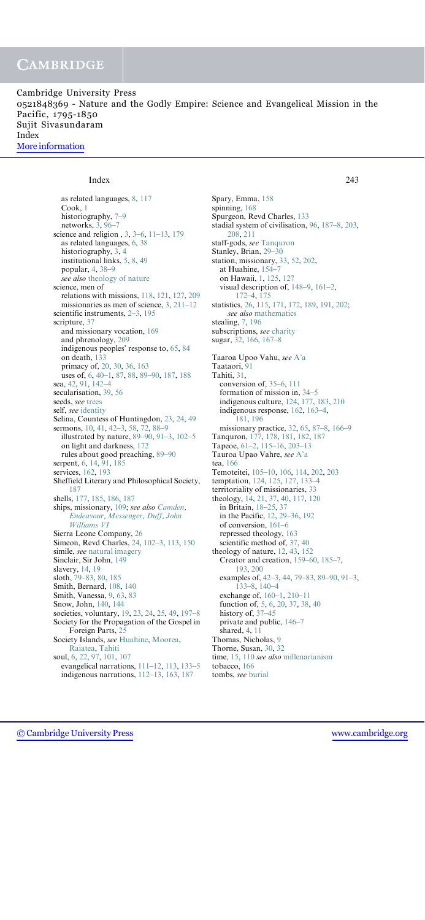Cambridge University Press 0521848369 - Nature and the Godly Empire: Science and Evangelical Mission in the Pacific, 1795-1850 Sujit Sivasundaram Index [More information](http://www.cambridge.org/0521848369)

#### Index 243

as related languages, 8, 117 Cook, 1 historiography, 7–9 networks, 3, 96–7 science and religion , 3, 3–6, 11–13, 179 as related languages, 6, 38 historiography, 3, 4 institutional links, 5, 8, 49 popular, 4, 38–9 see also theology of nature science, men of relations with missions, 118, 121, 127, 209 missionaries as men of science, 3, 211–12 scientific instruments, 2–3, 195 scripture, 37 and missionary vocation, 169 and phrenology, 209 indigenous peoples' response to, 65, 84 on death, 133 primacy of, 20, 30, 36, 163 uses of, 6, 40–1, 87, 88, 89–90, 187, 188 sea, 42, 91, 142–4 secularisation, 39, 56 seeds, see trees self, see identity Selina, Countess of Huntingdon, 23, 24, 49 sermons, 10, 41, 42–3, 58, 72, 88–9 illustrated by nature, 89–90, 91–3, 102–5 on light and darkness, 172 rules about good preaching, 89–90 serpent, 6, 14, 91, 185 services, 162, 193 Sheffield Literary and Philosophical Society, 187 shells, 177, 185, 186, 187 ships, missionary, 109; see also Camden, Endeavour, Messenger, Duff, John Williams VI Sierra Leone Company, 26 Simeon, Revd Charles, 24, 102–3, 113, 150 simile, see natural imagery Sinclair, Sir John, 149 slavery, 14, 19 sloth, 79–83, 80, 185 Smith, Bernard, 108, 140 Smith, Vanessa, 9, 63, 83 Snow, John, 140, 144 societies, voluntary, 19, 23, 24, 25, 49, 197–8 Society for the Propagation of the Gospel in Foreign Parts, 25 Society Islands, see Huahine, Moorea, Raiatea, Tahiti soul, 6, 22, 97, 101, 107 evangelical narrations, 111–12, 113, 133–5 indigenous narrations, 112–13, 163, 187

Spary, Emma, 158 spinning, 168 Spurgeon, Revd Charles, 133 stadial system of civilisation, 96, 187–8, 203, 208, 211 staff-gods, see Tanquron Stanley, Brian, 29–30 station, missionary, 33, 52, 202, at Huahine, 154–7 on Hawaii, 1, 125, 127 visual description of, 148–9, 161–2, 172–4, 175 statistics, 26, 115, 171, 172, 189, 191, 202; see also mathematics stealing, 7, 196 subscriptions, see charity sugar, 32, 166, 167–8 Taaroa Upoo Vahu, see A'a Taataori, 91 Tahiti, 31, conversion of, 35–6, 111 formation of mission in, 34–5 indigenous culture, 124, 177, 183, 210 indigenous response, 162, 163–4, 181, 196 missionary practice, 32, 65, 87–8, 166–9 Tanquron, 177, 178, 181, 182, 187 Tapeoe, 61–2, 115–16, 203–13 Tauroa Upao Vahre, see A'a tea, 166 Temoteitei, 105–10, 106, 114, 202, 203 temptation, 124, 125, 127, 133–4 territoriality of missionaries, 33 theology, 14, 21, 37, 40, 117, 120 in Britain, 18–25, 37 in the Pacific, 12, 29–36, 192 of conversion, 161–6 repressed theology, 163 scientific method of, 37, 40 theology of nature, 12, 43, 152 Creator and creation, 159–60, 185–7, 193, 200 examples of, 42–3, 44, 79–83, 89–90, 91–3, 133–8, 140–4 exchange of, 160–1, 210–11 function of, 5, 6, 20, 37, 38, 40 history of, 37–45 private and public, 146–7 shared, 4, 11 Thomas, Nicholas, 9 Thorne, Susan, 30, 32 time, 15, 110 see also millenarianism tobacco, 166 tombs, see burial